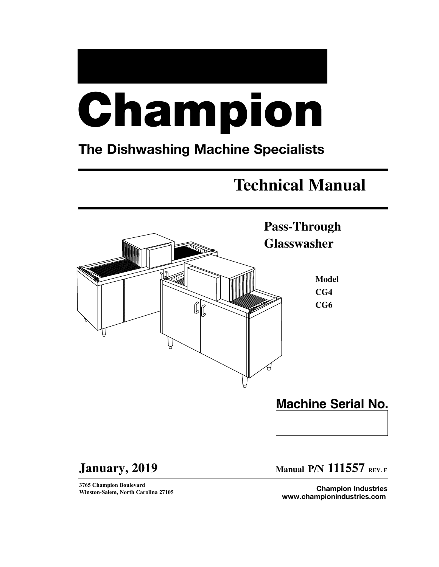# **Champion**

# **The Dishwashing Machine Specialists**

# **Technical Manual**



**January, 2019**

**3765 Champion Boulevard Winston-Salem, North Carolina 27105** **Manual P/N 111557 REV.<sup>F</sup>**

**Champion Industries www.championindustries.com**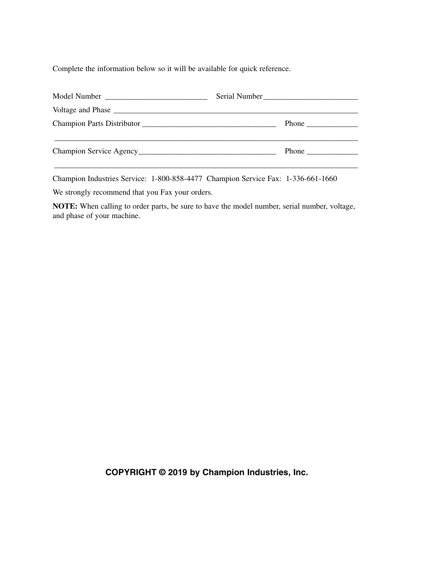Complete the information below so it will be available for quick reference.

| Serial Number<br><u> </u> |
|---------------------------|
|                           |
|                           |
|                           |
|                           |

Champion Industries Service: 1-800-858-4477 Champion Service Fax: 1-336-661-1660

We strongly recommend that you Fax your orders.

**NOTE:** When calling to order parts, be sure to have the model number, serial number, voltage, and phase of your machine.

**COPYRIGHT © 2019 by Champion Industries, Inc.**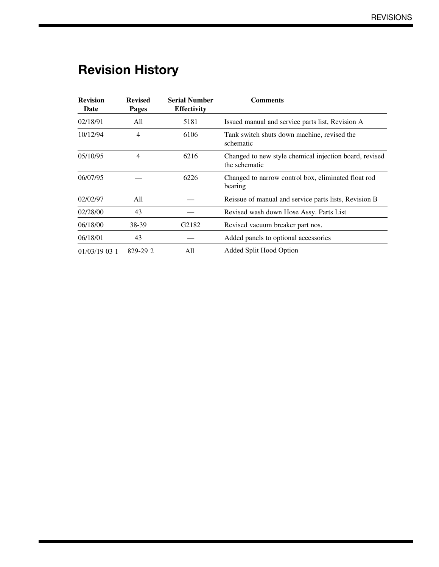# **Revision History**

| <b>Revision</b><br>Date | <b>Revised</b><br><b>Pages</b> | <b>Serial Number</b><br><b>Effectivity</b> | <b>Comments</b>                                                         |
|-------------------------|--------------------------------|--------------------------------------------|-------------------------------------------------------------------------|
| 02/18/91                | All                            | 5181                                       | Issued manual and service parts list, Revision A                        |
| 10/12/94                | $\overline{4}$                 | 6106                                       | Tank switch shuts down machine, revised the<br>schematic                |
| 05/10/95                | $\overline{4}$                 | 6216                                       | Changed to new style chemical injection board, revised<br>the schematic |
| 06/07/95                |                                | 6226                                       | Changed to narrow control box, eliminated float rod<br>bearing          |
| 02/02/97                | All                            |                                            | Reissue of manual and service parts lists, Revision B                   |
| 02/28/00                | 43                             |                                            | Revised wash down Hose Assy. Parts List                                 |
| 06/18/00                | 38-39                          | G2182                                      | Revised vacuum breaker part nos.                                        |
| 06/18/01                | 43                             |                                            | Added panels to optional accessories                                    |
| $01/03/19$ 03 1         | 829-29 2                       | All                                        | Added Split Hood Option                                                 |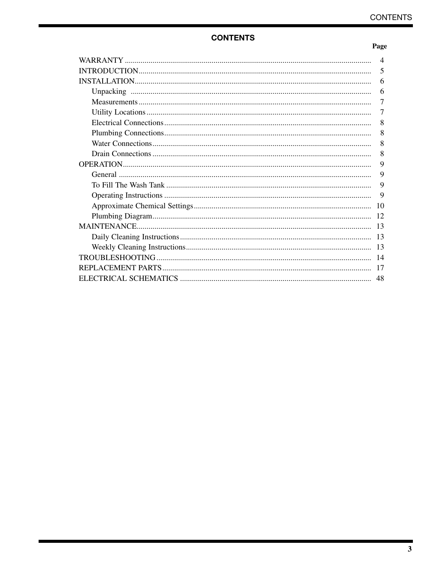# **CONTENTS**

#### Page

| 4              |
|----------------|
| 5              |
| 6              |
| 6              |
| 7              |
| $\overline{7}$ |
| 8              |
| 8              |
| 8              |
| 8              |
| 9              |
| 9              |
| 9              |
| 9              |
| 10             |
| 12             |
| 13             |
| -13            |
| 13             |
|                |
| 17             |
| 48             |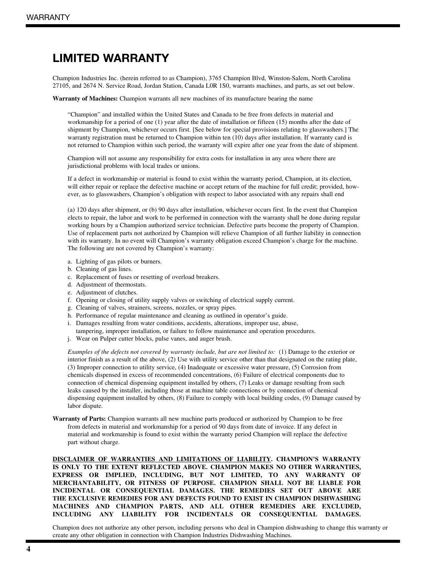# **LIMITED WARRANTY**

Champion Industries Inc. (herein referred to as Champion), 3765 Champion Blvd, Winston-Salem, North Carolina 27105, and 2674 N. Service Road, Jordan Station, Canada L0R 1S0, warrants machines, and parts, as set out below.

**Warranty of Machines:** Champion warrants all new machines of its manufacture bearing the name

"Champion" and installed within the United States and Canada to be free from defects in material and workmanship for a period of one (1) year after the date of installation or fifteen (15) months after the date of shipment by Champion, whichever occurs first. [See below for special provisions relating to glasswashers.] The warranty registration must be returned to Champion within ten (10) days after installation. If warranty card is not returned to Champion within such period, the warranty will expire after one year from the date of shipment.

Champion will not assume any responsibility for extra costs for installation in any area where there are jurisdictional problems with local trades or unions.

If a defect in workmanship or material is found to exist within the warranty period, Champion, at its election, will either repair or replace the defective machine or accept return of the machine for full credit; provided, however, as to glasswashers, Champion's obligation with respect to labor associated with any repairs shall end

(a) 120 days after shipment, or (b) 90 days after installation, whichever occurs first. In the event that Champion elects to repair, the labor and work to be performed in connection with the warranty shall be done during regular working hours by a Champion authorized service technician. Defective parts become the property of Champion. Use of replacement parts not authorized by Champion will relieve Champion of all further liability in connection with its warranty. In no event will Champion's warranty obligation exceed Champion's charge for the machine. The following are not covered by Champion's warranty:

- a. Lighting of gas pilots or burners.
- b. Cleaning of gas lines.
- c. Replacement of fuses or resetting of overload breakers.
- d. Adjustment of thermostats.
- e. Adjustment of clutches.
- f. Opening or closing of utility supply valves or switching of electrical supply current.
- g. Cleaning of valves, strainers, screens, nozzles, or spray pipes.
- h. Performance of regular maintenance and cleaning as outlined in operator's guide.
- i. Damages resulting from water conditions, accidents, alterations, improper use, abuse,
- tampering, improper installation, or failure to follow maintenance and operation procedures.
- j. Wear on Pulper cutter blocks, pulse vanes, and auger brush.

*Examples of the defects not covered by warranty include, but are not limited to:* (1) Damage to the exterior or interior finish as a result of the above, (2) Use with utility service other than that designated on the rating plate, (3) Improper connection to utility service, (4) Inadequate or excessive water pressure, (5) Corrosion from chemicals dispensed in excess of recommended concentrations, (6) Failure of electrical components due to connection of chemical dispensing equipment installed by others, (7) Leaks or damage resulting from such leaks caused by the installer, including those at machine table connections or by connection of chemical dispensing equipment installed by others, (8) Failure to comply with local building codes, (9) Damage caused by labor dispute.

**Warranty of Parts:** Champion warrants all new machine parts produced or authorized by Champion to be free from defects in material and workmanship for a period of 90 days from date of invoice. If any defect in material and workmanship is found to exist within the warranty period Champion will replace the defective part without charge.

**DISCLAIMER OF WARRANTIES AND LIMITATIONS OF LIABILITY. CHAMPION'S WARRANTY IS ONLY TO THE EXTENT REFLECTED ABOVE. CHAMPION MAKES NO OTHER WARRANTIES, EXPRESS OR IMPLIED, INCLUDING, BUT NOT LIMITED, TO ANY WARRANTY OF MERCHANTABILITY, OR FITNESS OF PURPOSE. CHAMPION SHALL NOT BE LIABLE FOR INCIDENTAL OR CONSEQUENTIAL DAMAGES. THE REMEDIES SET OUT ABOVE ARE THE EXCLUSIVE REMEDIES FOR ANY DEFECTS FOUND TO EXIST IN CHAMPION DISHWASHING MACHINES AND CHAMPION PARTS, AND ALL OTHER REMEDIES ARE EXCLUDED, INCLUDING ANY LIABILITY FOR INCIDENTALS OR CONSEQUENTIAL DAMAGES.**

Champion does not authorize any other person, including persons who deal in Champion dishwashing to change this warranty or create any other obligation in connection with Champion Industries Dishwashing Machines.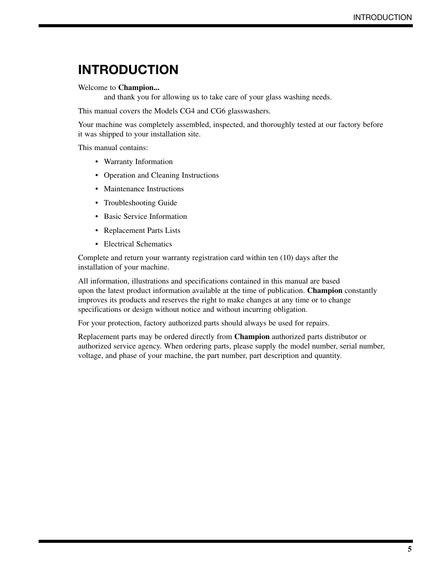# **INTRODUCTION**

#### Welcome to **Champion...**

and thank you for allowing us to take care of your glass washing needs.

This manual covers the Models CG4 and CG6 glasswashers.

Your machine was completely assembled, inspected, and thoroughly tested at our factory before it was shipped to your installation site.

This manual contains:

- Warranty Information
- Operation and Cleaning Instructions
- Maintenance Instructions
- Troubleshooting Guide
- Basic Service Information
- Replacement Parts Lists
- Electrical Schematics

Complete and return your warranty registration card within ten (10) days after the installation of your machine.

All information, illustrations and specifications contained in this manual are based upon the latest product information available at the time of publication. **Champion** constantly improves its products and reserves the right to make changes at any time or to change specifications or design without notice and without incurring obligation.

For your protection, factory authorized parts should always be used for repairs.

Replacement parts may be ordered directly from **Champion** authorized parts distributor or authorized service agency. When ordering parts, please supply the model number, serial number, voltage, and phase of your machine, the part number, part description and quantity.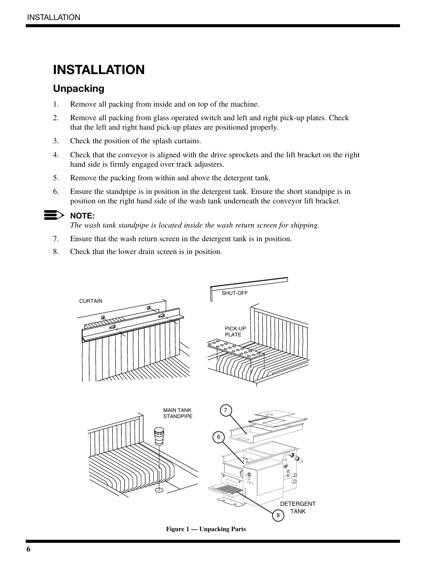# **INSTALLATION**

# **Unpacking**

- 1. Remove all packing from inside and on top of the machine.
- 2. Remove all packing from glass operated switch and left and right pick-up plates. Check that the left and right hand pick-up plates are positioned properly.
- 3. Check the position of the splash curtains.
- 4. Check that the conveyor is aligned with the drive sprockets and the lift bracket on the right hand side is firmly engaged over track adjusters.
- 5. Remove the packing from within and above the detergent tank.
- 6. Ensure the standpipe is in position in the detergent tank. Ensure the short standpipe is in position on the right hand side of the wash tank underneath the conveyor lift bracket.

#### **NOTE:**  $\mathbf{E}$

*The wash tank standpipe is located inside the wash return screen for shipping.*

- 7. Ensure that the wash return screen in the detergent tank is in position.
- 8. Check that the lower drain screen is in position.

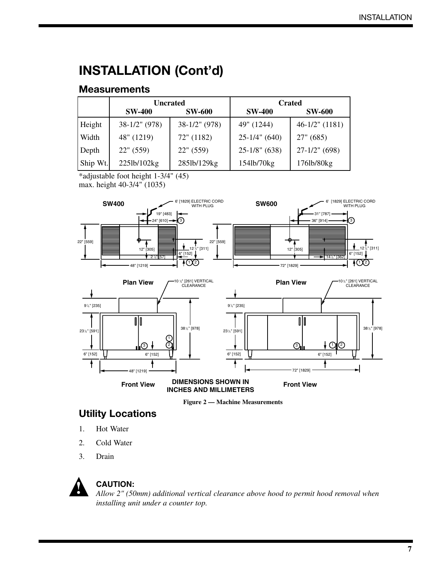# **INSTALLATION (Cont'd)**

# **Measurements**

|          | <b>Uncrated</b>  |                  |                 | <b>Crated</b>     |
|----------|------------------|------------------|-----------------|-------------------|
|          | <b>SW-400</b>    | <b>SW-600</b>    | <b>SW-400</b>   | <b>SW-600</b>     |
| Height   | $38-1/2$ " (978) | $38-1/2$ " (978) | 49" (1244)      | $46-1/2$ " (1181) |
| Width    | 48" (1219)       | 72" (1182)       | $25-1/4"$ (640) | 27" (685)         |
| Depth    | 22" (559)        | 22" (559)        | $25-1/8"$ (638) | $27-1/2$ " (698)  |
| Ship Wt. | 225lb/102kg      | 285lb/129kg      | 154lb/70kg      | 176lb/80kg        |

\*adjustable foot height 1-3/4" (45) max. height 40-3/4" (1035)





# **Utility Locations**

- 1. Hot Water
- 2. Cold Water
- 3. Drain



## **CAUTION:**

*Allow 2" (50mm) additional vertical clearance above hood to permit hood removal when installing unit under a counter top.*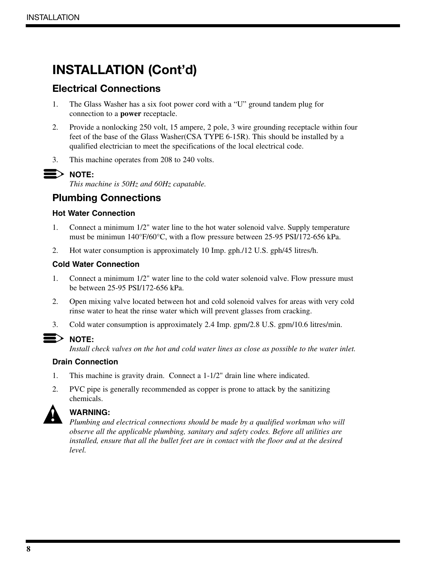# **INSTALLATION (Cont'd)**

# **Electrical Connections**

- 1. The Glass Washer has a six foot power cord with a "U" ground tandem plug for connection to a **power** receptacle.
- 2. Provide a nonlocking 250 volt, 15 ampere, 2 pole, 3 wire grounding receptacle within four feet of the base of the Glass Washer(CSA TYPE 6-15R). This should be installed by a qualified electrician to meet the specifications of the local electrical code.
- 3. This machine operates from 208 to 240 volts.

# **NOTE:**

*This machine is 50Hz and 60Hz capatable.*

# **Plumbing Connections**

#### **Hot Water Connection**

- 1. Connect a minimum 1/2" water line to the hot water solenoid valve. Supply temperature must be minimun 140°F/60°C, with a flow pressure between 25-95 PSI/172-656 kPa.
- 2. Hot water consumption is approximately 10 Imp. gph./12 U.S. gph/45 litres/h.

#### **Cold Water Connection**

- 1. Connect a minimum 1/2" water line to the cold water solenoid valve. Flow pressure must be between 25-95 PSI/172-656 kPa.
- 2. Open mixing valve located between hot and cold solenoid valves for areas with very cold rinse water to heat the rinse water which will prevent glasses from cracking.
- 3. Cold water consumption is approximately 2.4 Imp. gpm/2.8 U.S. gpm/10.6 litres/min.

*Install check valves on the hot and cold water lines as close as possible to the water inlet.*

#### **Drain Connection**

- 1. This machine is gravity drain. Connect a 1-1/2" drain line where indicated.
- 2. PVC pipe is generally recommended as copper is prone to attack by the sanitizing chemicals.



#### **WARNING:**

*Plumbing and electrical connections should be made by a qualified workman who will observe all the applicable plumbing, sanitary and safety codes. Before all utilities are installed, ensure that all the bullet feet are in contact with the floor and at the desired level.*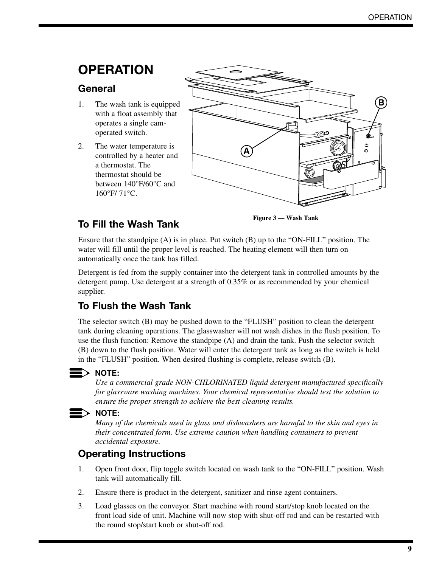# **OPERATION**

# **General**

- 1. The wash tank is equipped with a float assembly that operates a single camoperated switch.
- 2. The water temperature is controlled by a heater and a thermostat. The thermostat should be between 140°F/60°C and 160°F/ 71°C.



# **To Fill the Wash Tank**

**Figure 3 — Wash Tank**

Ensure that the standpipe (A) is in place. Put switch (B) up to the "ON-FILL" position. The water will fill until the proper level is reached. The heating element will then turn on automatically once the tank has filled.

Detergent is fed from the supply container into the detergent tank in controlled amounts by the detergent pump. Use detergent at a strength of 0.35% or as recommended by your chemical supplier.

# **To Flush the Wash Tank**

The selector switch (B) may be pushed down to the "FLUSH" position to clean the detergent tank during cleaning operations. The glasswasher will not wash dishes in the flush position. To use the flush function: Remove the standpipe (A) and drain the tank. Push the selector switch (B) down to the flush position. Water will enter the detergent tank as long as the switch is held in the "FLUSH" position. When desired flushing is complete, release switch (B).

## **NOTE:**

*Use a commercial grade NON-CHLORINATED liquid detergent manufactured specifically for glassware washing machines. Your chemical representative should test the solution to ensure the proper strength to achieve the best cleaning results.*

## **NOTE:**

*Many of the chemicals used in glass and dishwashers are harmful to the skin and eyes in their concentrated form. Use extreme caution when handling containers to prevent accidental exposure.*

# **Operating Instructions**

- 1. Open front door, flip toggle switch located on wash tank to the "ON-FILL" position. Wash tank will automatically fill.
- 2. Ensure there is product in the detergent, sanitizer and rinse agent containers.
- 3. Load glasses on the conveyor. Start machine with round start/stop knob located on the front load side of unit. Machine will now stop with shut-off rod and can be restarted with the round stop/start knob or shut-off rod.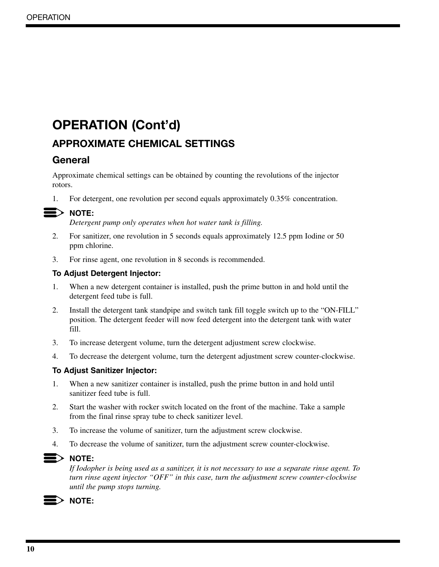# **OPERATION (Cont'd)**

# **APPROXIMATE CHEMICAL SETTINGS**

# **General**

Approximate chemical settings can be obtained by counting the revolutions of the injector rotors.

1. For detergent, one revolution per second equals approximately 0.35% concentration.

# **NOTE:**

*Detergent pump only operates when hot water tank is filling.*

- 2. For sanitizer, one revolution in 5 seconds equals approximately 12.5 ppm Iodine or 50 ppm chlorine.
- 3. For rinse agent, one revolution in 8 seconds is recommended.

## **To Adjust Detergent Injector:**

- 1. When a new detergent container is installed, push the prime button in and hold until the detergent feed tube is full.
- 2. Install the detergent tank standpipe and switch tank fill toggle switch up to the "ON-FILL" position. The detergent feeder will now feed detergent into the detergent tank with water fill.
- 3. To increase detergent volume, turn the detergent adjustment screw clockwise.
- 4. To decrease the detergent volume, turn the detergent adjustment screw counter-clockwise.

## **To Adjust Sanitizer Injector:**

- 1. When a new sanitizer container is installed, push the prime button in and hold until sanitizer feed tube is full.
- 2. Start the washer with rocker switch located on the front of the machine. Take a sample from the final rinse spray tube to check sanitizer level.
- 3. To increase the volume of sanitizer, turn the adjustment screw clockwise.
- 4. To decrease the volume of sanitizer, turn the adjustment screw counter-clockwise.

## $\blacktriangleright$  note:

*If Iodopher is being used as a sanitizer, it is not necessary to use a separate rinse agent. To turn rinse agent injector "OFF" in this case, turn the adjustment screw counter-clockwise until the pump stops turning.*

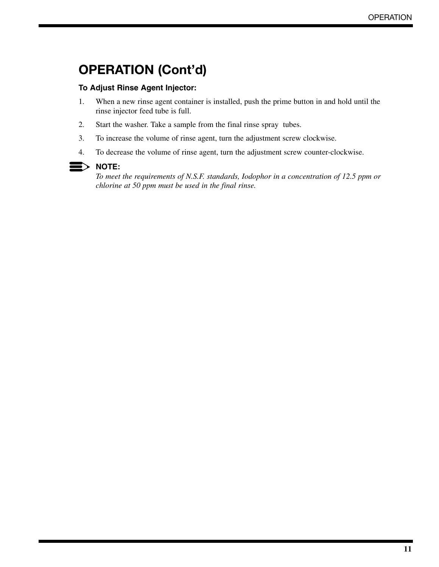# **OPERATION (Cont'd)**

#### **To Adjust Rinse Agent Injector:**

- 1. When a new rinse agent container is installed, push the prime button in and hold until the rinse injector feed tube is full.
- 2. Start the washer. Take a sample from the final rinse spray tubes.
- 3. To increase the volume of rinse agent, turn the adjustment screw clockwise.
- 4. To decrease the volume of rinse agent, turn the adjustment screw counter-clockwise.

#### **NOTE:**

*To meet the requirements of N.S.F. standards, Iodophor in a concentration of 12.5 ppm or chlorine at 50 ppm must be used in the final rinse.*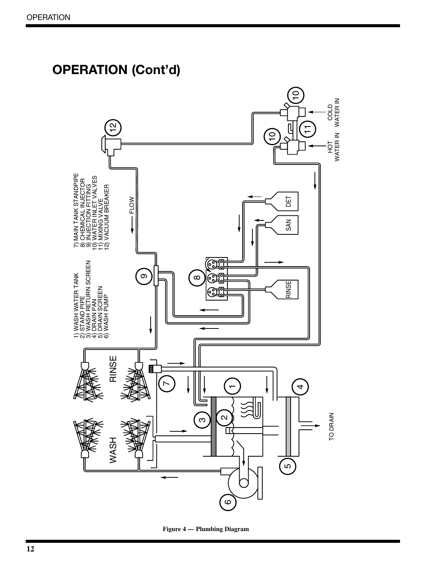

#### **Figure 4 — Plumbing Diagram**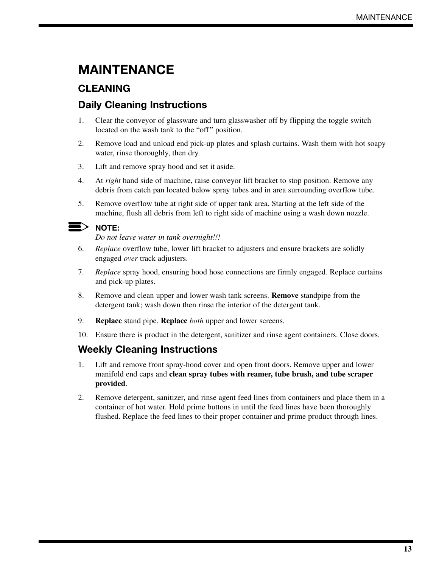# **MAINTENANCE**

# **CLEANING**

# **Daily Cleaning Instructions**

- 1. Clear the conveyor of glassware and turn glasswasher off by flipping the toggle switch located on the wash tank to the "off" position.
- 2. Remove load and unload end pick-up plates and splash curtains. Wash them with hot soapy water, rinse thoroughly, then dry.
- 3. Lift and remove spray hood and set it aside.
- 4. At *right* hand side of machine, raise conveyor lift bracket to stop position. Remove any debris from catch pan located below spray tubes and in area surrounding overflow tube.
- 5. Remove overflow tube at right side of upper tank area. Starting at the left side of the machine, flush all debris from left to right side of machine using a wash down nozzle.

 $\mathbf{E}$  note:

*Do not leave water in tank overnight!!!*

- 6. *Replace* overflow tube, lower lift bracket to adjusters and ensure brackets are solidly engaged *over* track adjusters.
- 7. *Replace* spray hood, ensuring hood hose connections are firmly engaged. Replace curtains and pick-up plates.
- 8. Remove and clean upper and lower wash tank screens. **Remove** standpipe from the detergent tank; wash down then rinse the interior of the detergent tank.
- 9. **Replace** stand pipe. **Replace** *both* upper and lower screens.
- 10. Ensure there is product in the detergent, sanitizer and rinse agent containers. Close doors.

## **Weekly Cleaning Instructions**

- 1. Lift and remove front spray-hood cover and open front doors. Remove upper and lower manifold end caps and **clean spray tubes with reamer, tube brush, and tube scraper provided**.
- 2. Remove detergent, sanitizer, and rinse agent feed lines from containers and place them in a container of hot water. Hold prime buttons in until the feed lines have been thoroughly flushed. Replace the feed lines to their proper container and prime product through lines.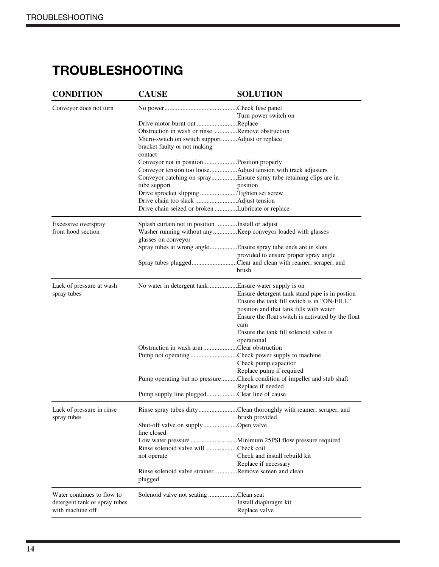# **TROUBLESHOOTING**

| <b>CONDITION</b>              | <b>CAUSE</b>                                                     | <b>SOLUTION</b>                                                          |
|-------------------------------|------------------------------------------------------------------|--------------------------------------------------------------------------|
| Conveyor does not turn        |                                                                  |                                                                          |
|                               |                                                                  | Turn power switch on                                                     |
|                               | Drive motor burnt out Replace                                    |                                                                          |
|                               | Obstruction in wash or rinse Remove obstruction                  |                                                                          |
|                               | Micro-switch on switch supportAdjust or replace                  |                                                                          |
|                               | bracket faulty or not making<br>contact                          |                                                                          |
|                               | Conveyor not in positionPosition properly                        |                                                                          |
|                               |                                                                  | Conveyor tension too looseAdjust tension with track adjusters            |
|                               |                                                                  | Conveyor catching on sprayEnsure spray tube retaining clips are in       |
|                               | tube support                                                     | position                                                                 |
|                               | Drive sprocket slipping Tighten set screw                        |                                                                          |
|                               |                                                                  |                                                                          |
|                               | Drive chain seized or broken Lubricate or replace                |                                                                          |
| Excessive overspray           | Splash curtain not in position Install or adjust                 |                                                                          |
| from hood section             |                                                                  | Washer running without any Keep conveyor loaded with glasses             |
|                               | glasses on conveyor                                              |                                                                          |
|                               |                                                                  | Spray tubes at wrong angleEnsure spray tube ends are in slots            |
|                               |                                                                  | provided to ensure proper spray angle                                    |
|                               |                                                                  | Spray tubes pluggedClear and clean with reamer, scraper, and             |
|                               |                                                                  | brush                                                                    |
| Lack of pressure at wash      |                                                                  |                                                                          |
| spray tubes                   |                                                                  | Ensure detergent tank stand pipe is in postion                           |
|                               |                                                                  | Ensure the tank fill switch is in "ON-FILL"                              |
|                               |                                                                  | position and that tank fills with water                                  |
|                               |                                                                  | Ensure the float switch is activated by the float                        |
|                               |                                                                  | cam                                                                      |
|                               |                                                                  | Ensure the tank fill solenoid valve is                                   |
|                               |                                                                  | operational                                                              |
|                               | Obstruction in wash arm Clear obstruction                        |                                                                          |
|                               |                                                                  | Pump not operating Check power supply to machine                         |
|                               |                                                                  | Check pump capacitor                                                     |
|                               |                                                                  | Replace pump if required                                                 |
|                               |                                                                  | Pump operating but no pressureCheck condition of impeller and stub shaft |
|                               |                                                                  | Replace if needed                                                        |
|                               | Pump supply line pluggedClear line of cause                      |                                                                          |
| Lack of pressure in rinse     |                                                                  | Rinse spray tubes dirtyClean thoroughly with reamer, scraper, and        |
| spray tubes                   |                                                                  | brush provided                                                           |
|                               | Shut-off valve on supplyOpen valve                               |                                                                          |
|                               | line closed                                                      |                                                                          |
|                               |                                                                  |                                                                          |
|                               | Rinse solenoid valve will Check coil                             |                                                                          |
|                               | not operate                                                      | Check and install rebuild kit                                            |
|                               |                                                                  | Replace if necessary                                                     |
|                               | Rinse solenoid valve strainer Remove screen and clean<br>plugged |                                                                          |
| Water continues to flow to    | Solenoid valve not seating Clean seat                            |                                                                          |
| detergent tank or spray tubes |                                                                  | Install diaphragm kit                                                    |
| with machine off              |                                                                  | Replace valve                                                            |
|                               |                                                                  |                                                                          |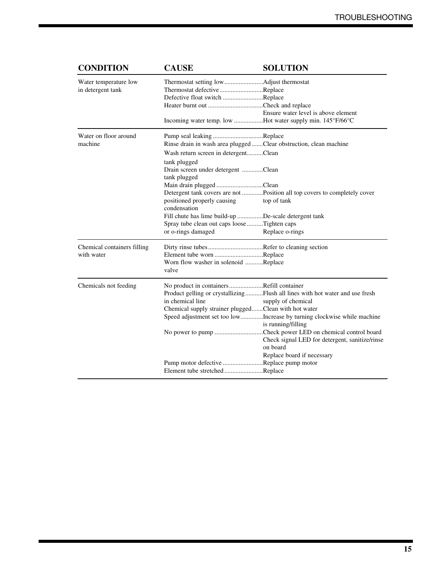| <b>CONDITION</b>            | <b>CAUSE</b>                                         | <b>SOLUTION</b>                                                              |
|-----------------------------|------------------------------------------------------|------------------------------------------------------------------------------|
| Water temperature low       |                                                      |                                                                              |
| in detergent tank           | Thermostat defectiveReplace                          |                                                                              |
|                             | Defective float switch Replace                       |                                                                              |
|                             |                                                      |                                                                              |
|                             |                                                      | Ensure water level is above element                                          |
|                             |                                                      | Incoming water temp. low Hot water supply min. 145°F/66°C                    |
| Water on floor around       | Pump seal leaking Replace                            |                                                                              |
| machine                     |                                                      | Rinse drain in wash area plugged Clear obstruction, clean machine            |
|                             | Wash return screen in detergentClean                 |                                                                              |
|                             | tank plugged                                         |                                                                              |
|                             | Drain screen under detergent Clean                   |                                                                              |
|                             | tank plugged                                         |                                                                              |
|                             | Main drain plugged Clean                             |                                                                              |
|                             |                                                      | Detergent tank covers are not Position all top covers to completely cover    |
|                             | positioned properly causing                          | top of tank                                                                  |
|                             | condensation                                         |                                                                              |
|                             | Fill chute has lime build-up De-scale detergent tank |                                                                              |
|                             | Spray tube clean out caps loose Tighten caps         |                                                                              |
|                             | or o-rings damaged                                   | Replace o-rings                                                              |
| Chemical containers filling |                                                      |                                                                              |
| with water                  | Element tube worn Replace                            |                                                                              |
|                             | Worn flow washer in solenoid Replace                 |                                                                              |
|                             | valve                                                |                                                                              |
| Chemicals not feeding       | No product in containersRefill container             |                                                                              |
|                             |                                                      | Product gelling or crystallizingFlush all lines with hot water and use fresh |
|                             | in chemical line                                     | supply of chemical                                                           |
|                             | Chemical supply strainer pluggedClean with hot water |                                                                              |
|                             |                                                      | Speed adjustment set too lowIncrease by turning clockwise while machine      |
|                             |                                                      | is running/filling                                                           |
|                             |                                                      | No power to pump Check power LED on chemical control board                   |
|                             |                                                      | Check signal LED for detergent, sanitize/rinse                               |
|                             |                                                      | on board                                                                     |
|                             |                                                      | Replace board if necessary                                                   |
|                             | Pump motor defective Replace pump motor              |                                                                              |
|                             | Element tube stretchedReplace                        |                                                                              |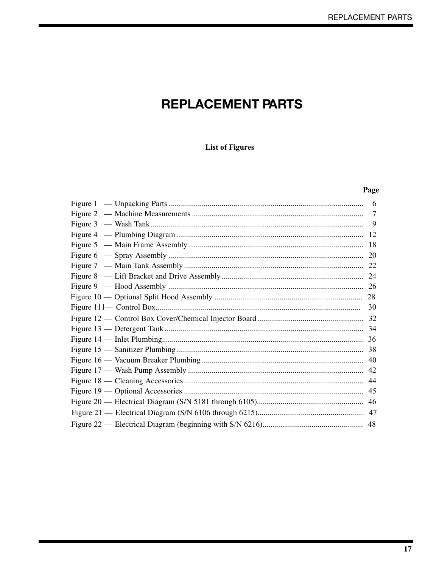# **REPLACEMENT PARTS**

## **List of Figures**

#### Page

| 6 |
|---|
| 7 |
|   |
|   |
|   |
|   |
|   |
|   |
|   |
|   |
|   |
|   |
|   |
|   |
|   |
|   |
|   |
|   |
|   |
|   |
|   |
|   |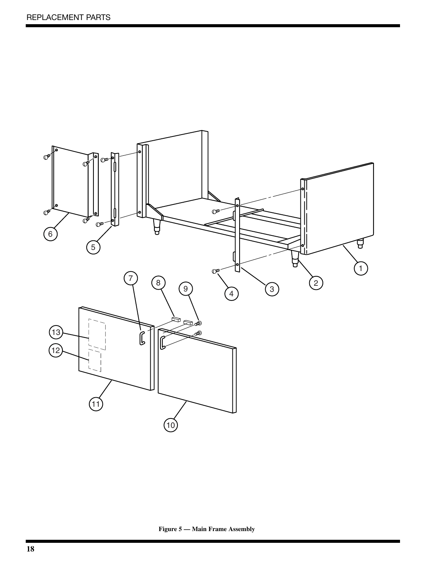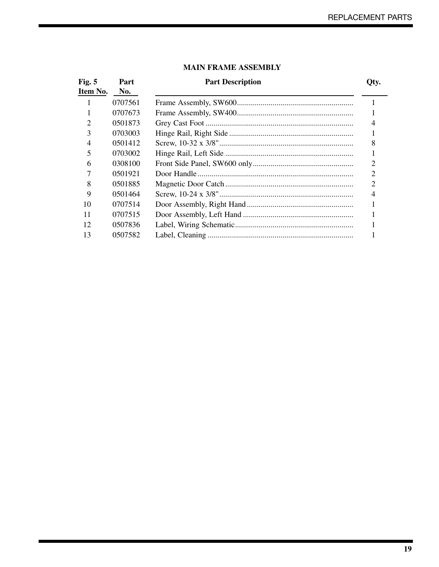| Fig. $5$       | Part    | <b>Part Description</b> | Qty.           |
|----------------|---------|-------------------------|----------------|
| Item No.       | No.     |                         |                |
|                | 0707561 |                         |                |
|                | 0707673 |                         |                |
| $\overline{2}$ | 0501873 |                         | 4              |
| 3              | 0703003 |                         |                |
| $\overline{4}$ | 0501412 |                         | 8              |
| 5              | 0703002 |                         |                |
| 6              | 0308100 |                         | 2              |
|                | 0501921 |                         | 2              |
| 8              | 0501885 |                         | $\overline{2}$ |
| 9              | 0501464 |                         | 4              |
| 10             | 0707514 |                         |                |
| 11             | 0707515 |                         |                |
| 12             | 0507836 |                         |                |
| 13             | 0507582 |                         |                |

#### **MAIN FRAME ASSEMBLY**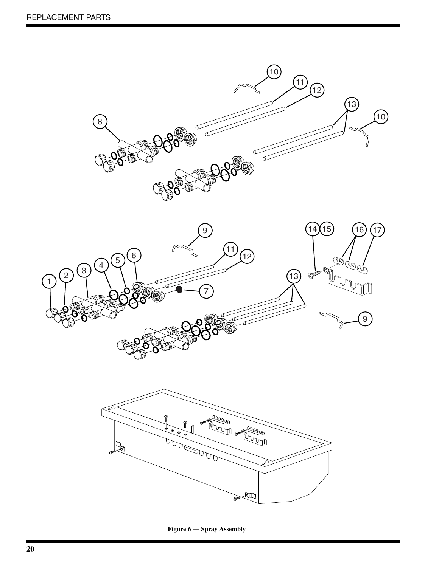

**Figure 6 — Spray Assembly**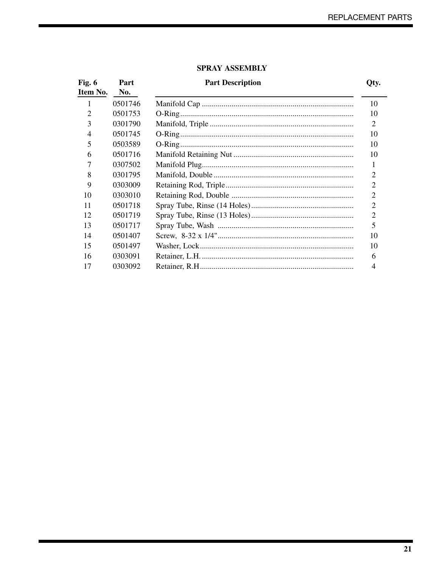| Fig. $6$<br>Item No. | Part<br>No. | <b>Part Description</b> | Qty.           |
|----------------------|-------------|-------------------------|----------------|
| 1                    | 0501746     |                         | 10             |
| $\overline{2}$       | 0501753     |                         | 10             |
| 3                    | 0301790     |                         | 2              |
| $\overline{4}$       | 0501745     |                         | 10             |
| 5                    | 0503589     |                         | 10             |
| 6                    | 0501716     |                         | 10             |
| 7                    | 0307502     |                         | 1              |
| 8                    | 0301795     |                         | 2              |
| 9                    | 0303009     |                         | 2              |
| 10                   | 0303010     |                         | 2              |
| 11                   | 0501718     |                         | $\overline{2}$ |
| 12                   | 0501719     |                         | $\overline{2}$ |
| 13                   | 0501717     |                         | 5              |
| 14                   | 0501407     |                         | 10             |
| 15                   | 0501497     |                         | 10             |
| 16                   | 0303091     |                         | 6              |
| 17                   | 0303092     |                         | 4              |

## **SPRAY ASSEMBLY**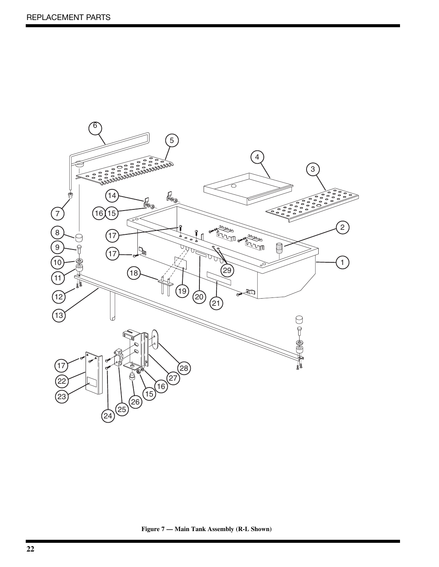

**Figure 7 — Main Tank Assembly (R-L Shown)**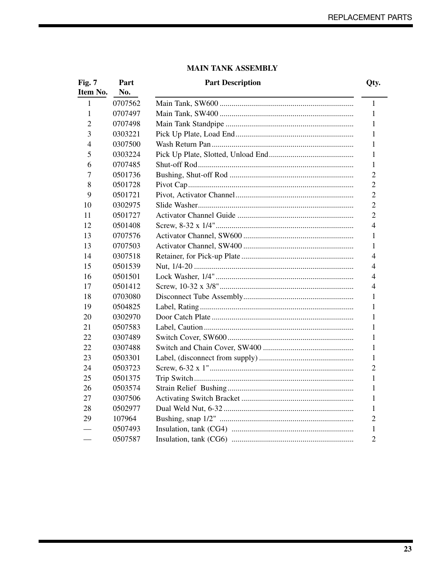## **MAIN TANK ASSEMBLY**

| Fig. 7<br>Item No. | Part<br>No. | <b>Part Description</b> | Qty.           |
|--------------------|-------------|-------------------------|----------------|
| $\mathbf{1}$       | 0707562     |                         | 1              |
| 1                  | 0707497     |                         | 1              |
| 2                  | 0707498     |                         | 1              |
| 3                  | 0303221     |                         | 1              |
| 4                  | 0307500     |                         | 1              |
| 5                  | 0303224     |                         | 1              |
| 6                  | 0707485     |                         | 1              |
| 7                  | 0501736     |                         | $\overline{2}$ |
| 8                  | 0501728     |                         | $\overline{2}$ |
| 9                  | 0501721     |                         | $\overline{2}$ |
| 10                 | 0302975     |                         | $\overline{2}$ |
| 11                 | 0501727     |                         | $\overline{2}$ |
| 12                 | 0501408     |                         | $\overline{4}$ |
| 13                 | 0707576     |                         | 1              |
| 13                 | 0707503     |                         | 1              |
| 14                 | 0307518     |                         | 4              |
| 15                 | 0501539     |                         | 4              |
| 16                 | 0501501     |                         | 4              |
| 17                 | 0501412     |                         | 4              |
| 18                 | 0703080     |                         | 1              |
| 19                 | 0504825     |                         | 1              |
| 20                 | 0302970     |                         | 1              |
| 21                 | 0507583     |                         | 1              |
| 22                 | 0307489     |                         | 1              |
| 22                 | 0307488     |                         | $\mathbf{1}$   |
| 23                 | 0503301     |                         | 1              |
| 24                 | 0503723     |                         | $\overline{2}$ |
| 25                 | 0501375     |                         | 1              |
| 26                 | 0503574     |                         | 1              |
| 27                 | 0307506     |                         | 1              |
| 28                 | 0502977     |                         | 1              |
| 29                 | 107964      |                         | $\overline{2}$ |
|                    | 0507493     |                         | 1              |
|                    | 0507587     |                         | $\overline{2}$ |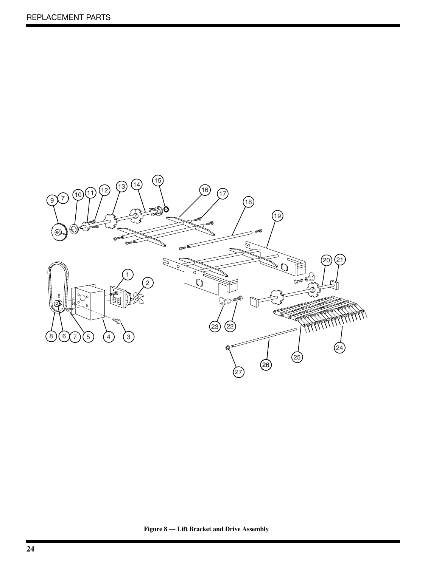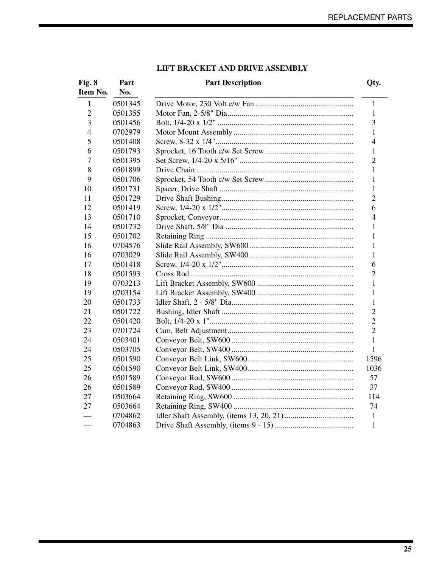| Fig. 8<br>Item No. | Part<br>No. | <b>Part Description</b> | Qty.           |
|--------------------|-------------|-------------------------|----------------|
| 1                  | 0501345     |                         | 1              |
| $\overline{2}$     | 0501355     |                         | 1              |
| 3                  | 0501456     |                         | 3              |
| 4                  | 0702979     |                         | 1              |
| 5                  | 0501408     |                         | $\overline{4}$ |
| 6                  | 0501793     |                         | 1              |
| 7                  | 0501395     |                         | $\overline{2}$ |
| 8                  | 0501899     |                         | 1              |
| 9                  | 0501706     |                         | 1              |
| 10                 | 0501731     |                         | 1              |
| 11                 | 0501729     |                         | $\overline{c}$ |
| 12                 | 0501419     |                         | 6              |
| 13                 | 0501710     |                         | $\overline{4}$ |
| 14                 | 0501732     |                         | 1              |
| 15                 | 0501702     |                         | 1              |
| 16                 | 0704576     |                         | 1              |
| 16                 | 0703029     |                         | 1              |
| 17                 | 0501418     |                         | 6              |
| 18                 | 0501593     |                         | $\overline{2}$ |
| 19                 | 0703213     |                         | 1              |
| 19                 | 0703154     |                         | 1              |
| 20                 | 0501733     |                         | 1              |
| 21                 | 0501722     |                         | $\overline{c}$ |
| 22                 | 0501420     |                         | $\overline{2}$ |
| 23                 | 0701724     |                         | $\overline{2}$ |
| 24                 | 0503401     |                         | 1              |
| 24                 | 0503705     |                         | 1              |
| 25                 | 0501590     |                         | 1596           |
| 25                 | 0501590     |                         | 1036           |
| 26                 | 0501589     |                         | 57             |
| 26                 | 0501589     |                         | 37             |
| 27                 | 0503664     |                         | 114            |
| 27                 | 0503664     |                         | 74             |
|                    | 0704862     |                         | $\mathbf{1}$   |
|                    | 0704863     |                         | $\mathbf{1}$   |

## **LIFT BRACKET AND DRIVE ASSEMBLY**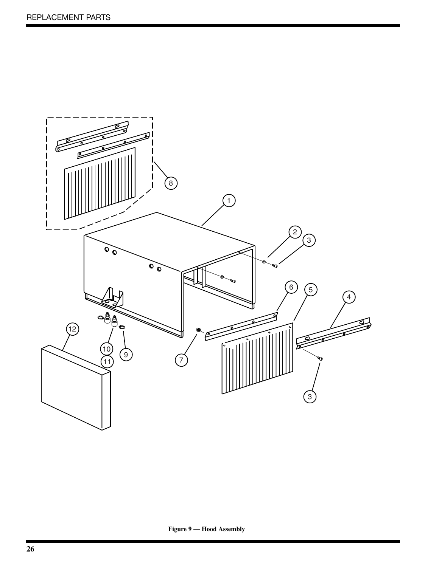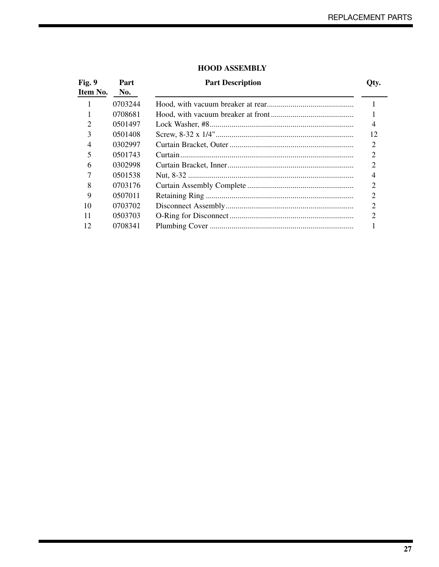| Fig. 9<br>Item No.          | Part<br>No. | <b>Part Description</b> | Oty.           |
|-----------------------------|-------------|-------------------------|----------------|
|                             | 0703244     |                         |                |
|                             | 0708681     |                         |                |
| $\mathcal{D}_{\mathcal{L}}$ | 0501497     |                         | 4              |
| 3                           | 0501408     |                         | 12             |
| $\overline{4}$              | 0302997     |                         | $\overline{2}$ |
| 5                           | 0501743     |                         | 2              |
| 6                           | 0302998     |                         | $\overline{2}$ |
|                             | 0501538     |                         | 4              |
| 8                           | 0703176     |                         | $\overline{2}$ |
| 9                           | 0507011     |                         | $\overline{2}$ |
| 10                          | 0703702     |                         | $\overline{2}$ |
| 11                          | 0503703     |                         | າ              |
| 12                          | 0708341     |                         |                |

#### **HOOD ASSEMBLY**

**27**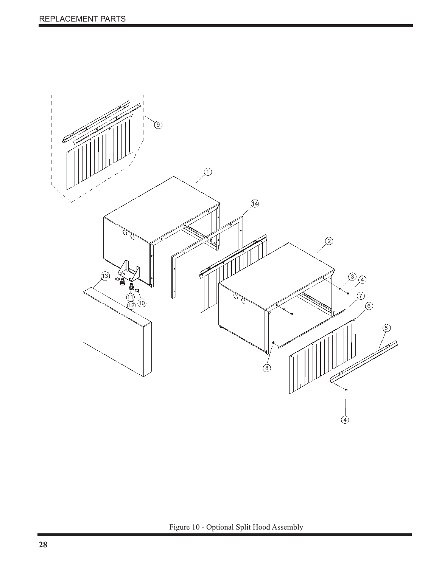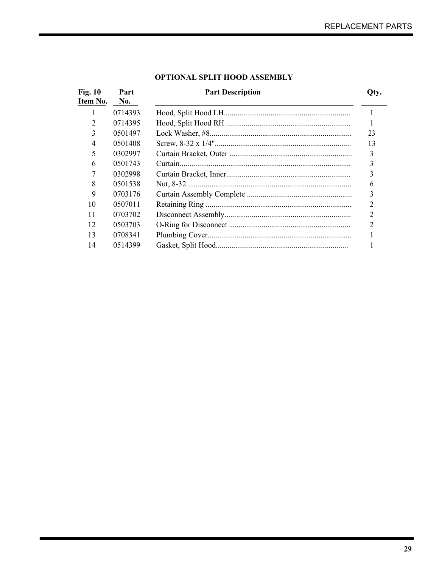| <b>Fig. 10</b><br>Item No. | Part<br>No. | <b>Part Description</b> | Qty. |
|----------------------------|-------------|-------------------------|------|
|                            | 0714393     |                         |      |
| 2                          | 0714395     |                         |      |
| 3                          | 0501497     |                         | 23   |
| 4                          | 0501408     |                         | 13   |
| 5                          | 0302997     |                         | 3    |
| 6                          | 0501743     |                         |      |
|                            | 0302998     |                         |      |
| 8                          | 0501538     |                         | 6    |
| 9                          | 0703176     |                         |      |
| 10                         | 0507011     |                         |      |
| 11                         | 0703702     |                         |      |
| 12                         | 0503703     |                         |      |
| 13                         | 0708341     |                         |      |
| 14                         | 0514399     |                         |      |

## **OPTIONAL SPLIT HOOD ASSEMBLY**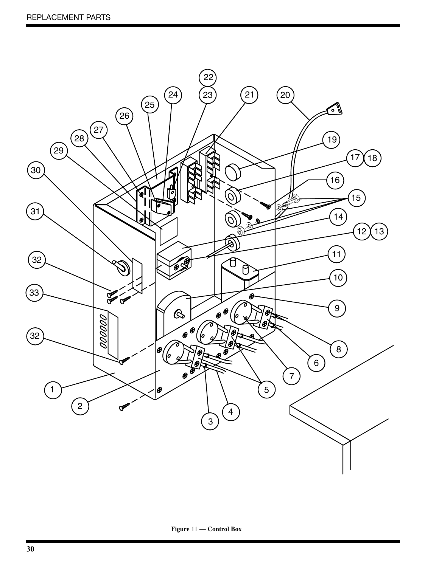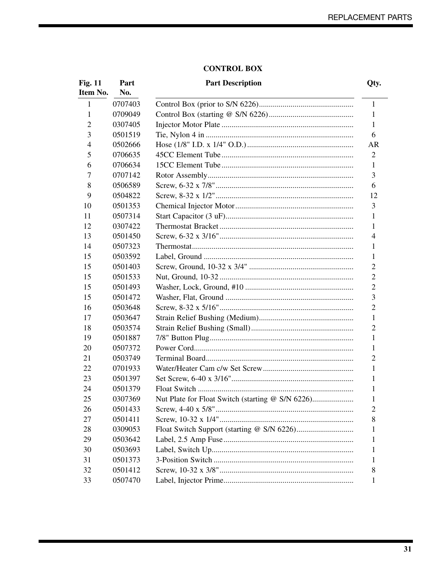#### **CONTROL BOX**

|  | <b>Part Description</b> |  |
|--|-------------------------|--|
|--|-------------------------|--|

| <b>Fig. 11</b><br>Item No. | Part<br>No. | <b>Part Description</b>                          | Qty.           |
|----------------------------|-------------|--------------------------------------------------|----------------|
| $\mathbf{1}$               | 0707403     |                                                  | $\mathbf{1}$   |
| 1                          | 0709049     |                                                  | 1              |
| 2                          | 0307405     |                                                  | 1              |
| 3                          | 0501519     |                                                  | 6              |
| 4                          | 0502666     |                                                  | AR             |
| 5                          | 0706635     |                                                  | 2              |
| 6                          | 0706634     |                                                  | 1              |
| 7                          | 0707142     |                                                  | 3              |
| 8                          | 0506589     |                                                  | 6              |
| 9                          | 0504822     |                                                  | 12             |
| 10                         | 0501353     |                                                  | 3              |
| 11                         | 0507314     |                                                  | 1              |
| 12                         | 0307422     |                                                  | 1              |
| 13                         | 0501450     |                                                  | 4              |
| 14                         | 0507323     |                                                  | 1              |
| 15                         | 0503592     |                                                  | 1              |
| 15                         | 0501403     |                                                  | $\overline{2}$ |
| 15                         | 0501533     |                                                  | $\overline{2}$ |
| 15                         | 0501493     |                                                  | $\overline{2}$ |
| 15                         | 0501472     |                                                  | 3              |
| 16                         | 0503648     |                                                  | $\overline{2}$ |
| 17                         | 0503647     |                                                  | 1              |
| 18                         | 0503574     |                                                  | $\overline{2}$ |
| 19                         | 0501887     |                                                  | 1              |
| 20                         | 0507372     |                                                  | 1              |
| 21                         | 0503749     |                                                  | $\overline{2}$ |
| 22                         | 0701933     |                                                  | 1              |
| 23                         | 0501397     |                                                  | 1              |
| 24                         | 0501379     |                                                  | 1              |
| 25                         | 0307369     | Nut Plate for Float Switch (starting @ S/N 6226) | $\mathbf{1}$   |
| 26                         | 0501433     |                                                  | 2              |
| 27                         | 0501411     |                                                  | 8              |
| 28                         | 0309053     |                                                  | 1              |
| 29                         | 0503642     |                                                  | 1              |
| 30                         | 0503693     |                                                  | 1              |
| 31                         | 0501373     |                                                  | 1              |
| 32                         | 0501412     |                                                  | 8              |
| 33                         | 0507470     |                                                  | 1              |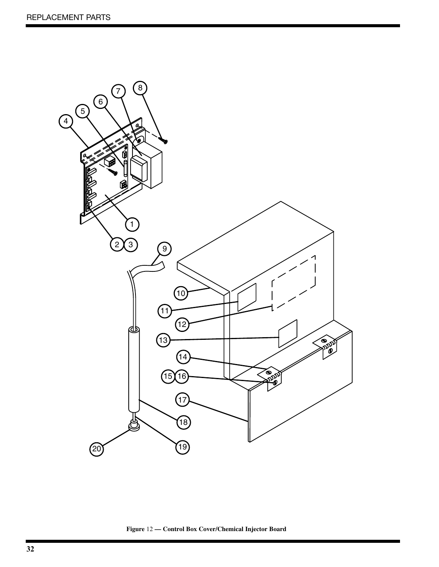

**Figure** 12 **— Control Box Cover/Chemical Injector Board**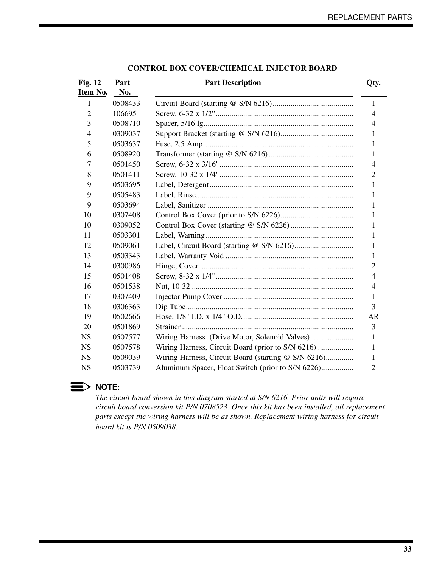| <b>Fig. 12</b> | Part    | <b>Part Description</b>                             | Qty.           |
|----------------|---------|-----------------------------------------------------|----------------|
| Item No.       | No.     |                                                     |                |
| 1              | 0508433 |                                                     | 1              |
| $\overline{2}$ | 106695  |                                                     | $\overline{4}$ |
| 3              | 0508710 |                                                     | 4              |
| 4              | 0309037 |                                                     | 1              |
| 5              | 0503637 |                                                     | 1              |
| 6              | 0508920 |                                                     | 1              |
| 7              | 0501450 |                                                     | $\overline{4}$ |
| 8              | 0501411 |                                                     | $\overline{2}$ |
| 9              | 0503695 |                                                     | 1              |
| 9              | 0505483 |                                                     | 1              |
| 9              | 0503694 |                                                     | 1              |
| 10             | 0307408 |                                                     | 1              |
| 10             | 0309052 |                                                     | 1              |
| 11             | 0503301 |                                                     | 1              |
| 12             | 0509061 |                                                     | 1              |
| 13             | 0503343 |                                                     | 1              |
| 14             | 0300986 |                                                     | $\overline{2}$ |
| 15             | 0501408 |                                                     | $\overline{4}$ |
| 16             | 0501538 |                                                     | 4              |
| 17             | 0307409 |                                                     | 1              |
| 18             | 0306363 |                                                     | 3              |
| 19             | 0502666 |                                                     | AR             |
| 20             | 0501869 |                                                     | 3              |
| <b>NS</b>      | 0507577 |                                                     | 1              |
| <b>NS</b>      | 0507578 | Wiring Harness, Circuit Board (prior to S/N 6216)   | 1              |
| <b>NS</b>      | 0509039 | Wiring Harness, Circuit Board (starting @ S/N 6216) | 1              |
| <b>NS</b>      | 0503739 | Aluminum Spacer, Float Switch (prior to S/N 6226)   | $\overline{2}$ |
|                |         |                                                     |                |

#### **CONTROL BOX COVER/CHEMICAL INJECTOR BOARD**



*The circuit board shown in this diagram started at S/N 6216. Prior units will require circuit board conversion kit P/N 0708523. Once this kit has been installed, all replacement parts except the wiring harness will be as shown. Replacement wiring harness for circuit board kit is P/N 0509038.*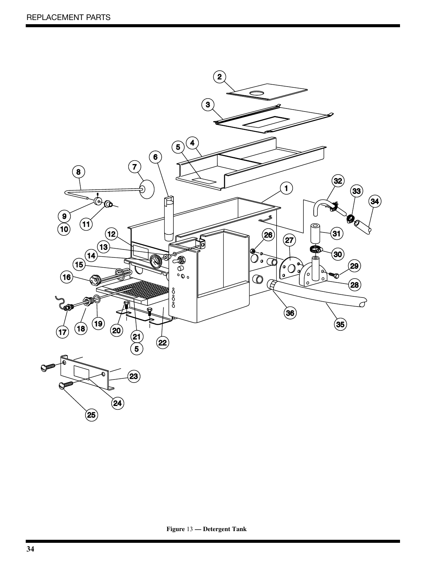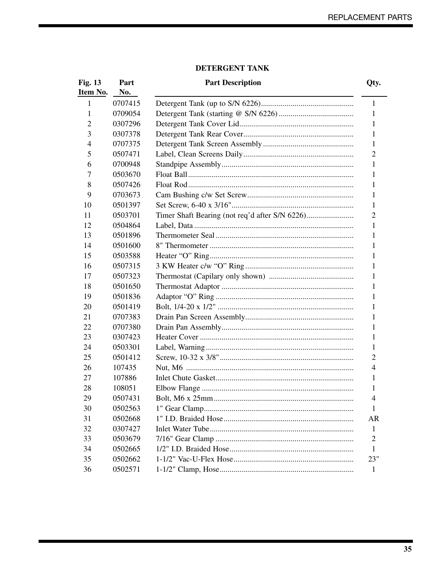## DETERGENT TANK

| <b>Fig. 13</b> | Part    | <b>Part Description</b> | Qty.           |
|----------------|---------|-------------------------|----------------|
| Item No.       | No.     |                         |                |
| $\mathbf{1}$   | 0707415 |                         | $\mathbf{1}$   |
| 1              | 0709054 |                         | 1              |
| 2              | 0307296 |                         | 1              |
| 3              | 0307378 |                         | 1              |
| 4              | 0707375 |                         | 1              |
| 5              | 0507471 |                         | $\overline{2}$ |
| 6              | 0700948 |                         | 1              |
| 7              | 0503670 |                         | 1              |
| 8              | 0507426 |                         | 1              |
| 9              | 0703673 |                         | 1              |
| 10             | 0501397 |                         | 1              |
| 11             | 0503701 |                         | $\overline{2}$ |
| 12             | 0504864 |                         | 1              |
| 13             | 0501896 |                         | 1              |
| 14             | 0501600 |                         | 1              |
| 15             | 0503588 |                         | 1              |
| 16             | 0507315 |                         | 1              |
| 17             | 0507323 |                         | 1              |
| 18             | 0501650 |                         | 1              |
| 19             | 0501836 |                         | 1              |
| 20             | 0501419 |                         | 1              |
| 21             | 0707383 |                         | 1              |
| 22             | 0707380 |                         | 1              |
| 23             | 0307423 |                         | 1              |
| 24             | 0503301 |                         | 1              |
| 25             | 0501412 |                         | 2              |
| 26             | 107435  |                         | 4              |
| 27             | 107886  |                         | 1              |
| 28             | 108051  |                         | 1              |
| 29             | 0507431 | Bolt. M6 x 25mm         | $\overline{4}$ |
| 30             | 0502563 |                         | 1              |
| 31             | 0502668 |                         | <b>AR</b>      |
| 32             | 0307427 |                         | $\mathbf{1}$   |
| 33             | 0503679 |                         | 2              |
| 34             | 0502665 |                         | 1              |
| 35             | 0502662 |                         | 23"            |
| 36             | 0502571 |                         | $\mathbf{1}$   |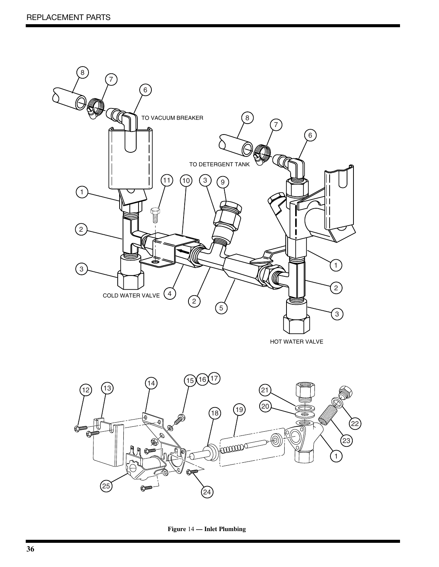![](_page_37_Picture_1.jpeg)

![](_page_37_Figure_2.jpeg)

**Figure** 14 **— Inlet Plumbing**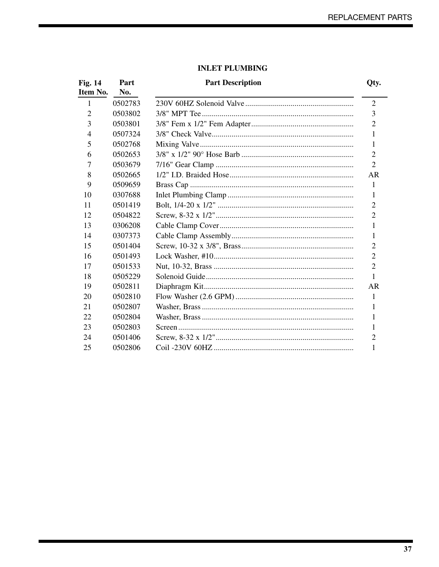## **INLET PLUMBING**

| <b>Fig. 14</b> | Part    | <b>Part Description</b> | Qty.           |
|----------------|---------|-------------------------|----------------|
| Item No.       | No.     |                         |                |
| 1              | 0502783 |                         | $\overline{2}$ |
| $\overline{2}$ | 0503802 |                         | 3              |
| 3              | 0503801 |                         | $\overline{2}$ |
| 4              | 0507324 |                         | 1              |
| 5              | 0502768 |                         | 1              |
| 6              | 0502653 |                         | $\overline{2}$ |
| 7              | 0503679 |                         | $\overline{2}$ |
| 8              | 0502665 |                         | <b>AR</b>      |
| 9              | 0509659 |                         | 1              |
| 10             | 0307688 |                         | 1              |
| 11             | 0501419 |                         | 2              |
| 12             | 0504822 |                         | $\overline{2}$ |
| 13             | 0306208 |                         | 1              |
| 14             | 0307373 |                         | 1              |
| 15             | 0501404 |                         | $\overline{2}$ |
| 16             | 0501493 |                         | $\overline{2}$ |
| 17             | 0501533 |                         | $\overline{2}$ |
| 18             | 0505229 |                         | 1              |
| 19             | 0502811 |                         | AR             |
| 20             | 0502810 |                         | 1              |
| 21             | 0502807 |                         | 1              |
| 22             | 0502804 |                         | 1              |
| 23             | 0502803 |                         | 1              |
| 24             | 0501406 |                         | $\overline{2}$ |
| 25             | 0502806 |                         |                |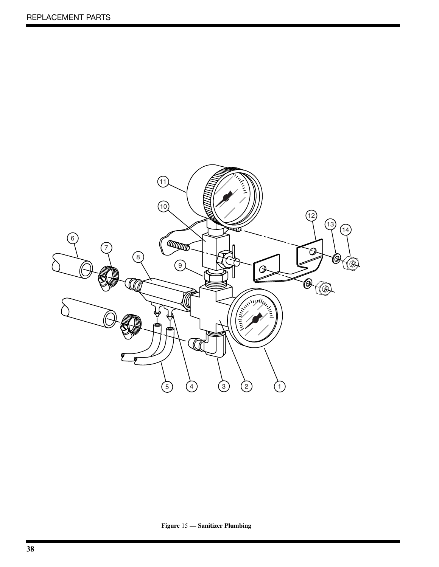![](_page_39_Picture_1.jpeg)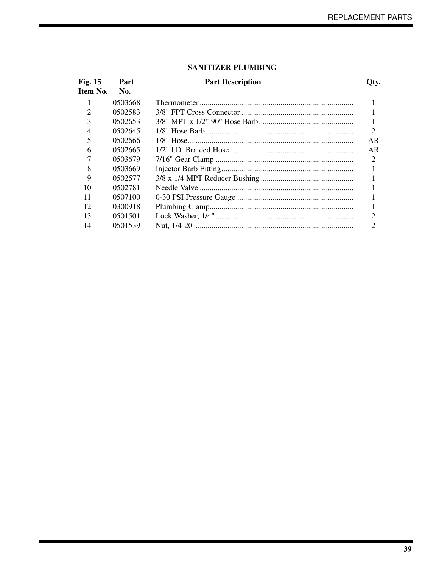#### **SANITIZER PLUMBING**

| <b>Fig. 15</b><br>Item No. | Part<br>No. | <b>Part Description</b> | Qty.                        |
|----------------------------|-------------|-------------------------|-----------------------------|
|                            | 0503668     |                         |                             |
| 2                          | 0502583     |                         |                             |
| 3                          | 0502653     |                         |                             |
| 4                          | 0502645     |                         | $\overline{2}$              |
| 5                          | 0502666     |                         | AR                          |
| 6                          | 0502665     |                         | AR                          |
|                            | 0503679     |                         | $\mathcal{D}_{\mathcal{L}}$ |
| 8                          | 0503669     |                         |                             |
| 9                          | 0502577     |                         |                             |
| 10                         | 0502781     |                         |                             |
| 11                         | 0507100     |                         |                             |
| 12                         | 0300918     |                         |                             |
| 13                         | 0501501     |                         |                             |
| 14                         | 0501539     |                         |                             |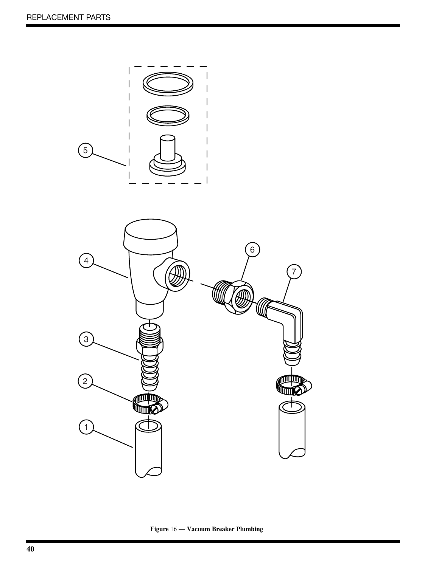![](_page_41_Figure_1.jpeg)

**Figure** 16 **— Vacuum Breaker Plumbing**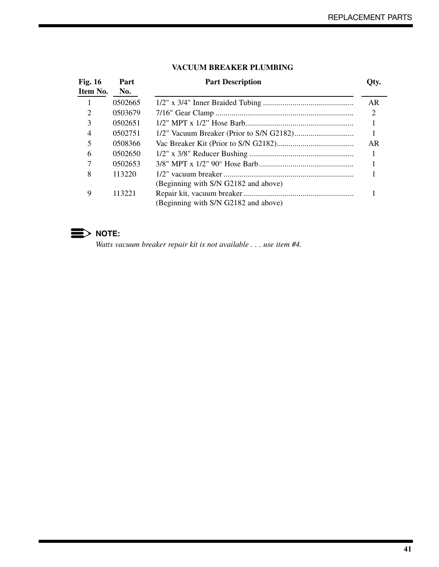| <b>Fig. 16</b><br>Item No. | Part<br>No. | <b>Part Description</b>              | Qty. |
|----------------------------|-------------|--------------------------------------|------|
|                            | 0502665     |                                      | AR   |
| 2                          | 0503679     |                                      | 2    |
| 3                          | 0502651     |                                      |      |
| $\overline{4}$             | 0502751     |                                      |      |
| 5                          | 0508366     |                                      | AR   |
| 6                          | 0502650     |                                      |      |
|                            | 0502653     |                                      |      |
| 8                          | 113220      |                                      |      |
|                            |             | (Beginning with S/N G2182 and above) |      |
| 9                          | 113221      |                                      |      |
|                            |             | (Beginning with S/N G2182 and above) |      |

#### **VACUUM BREAKER PLUMBING**

![](_page_42_Picture_3.jpeg)

*Watts vacuum breaker repair kit is not available . . . use item #4.*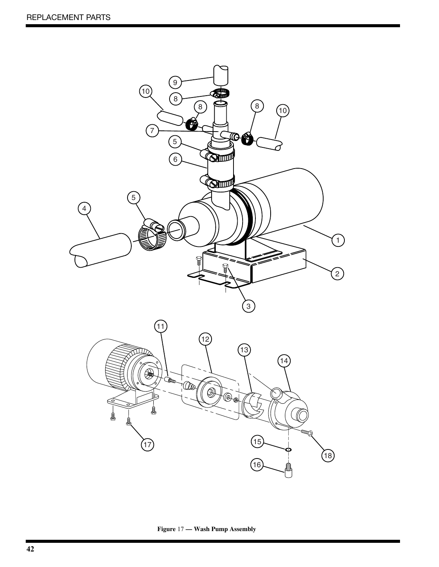![](_page_43_Picture_1.jpeg)

**Figure** 17 **— Wash Pump Assembly**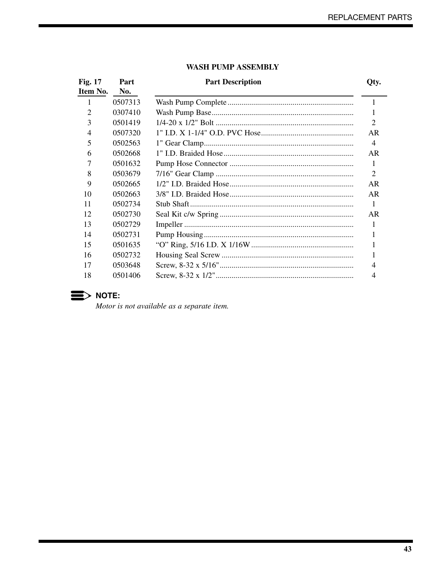| <b>Fig. 17</b><br>Item No. | Part<br>No. | <b>Part Description</b> | Qty.           |
|----------------------------|-------------|-------------------------|----------------|
| 1                          | 0507313     |                         | 1              |
| 2                          | 0307410     |                         | 1              |
| 3                          | 0501419     |                         | $\overline{2}$ |
| $\overline{4}$             | 0507320     |                         | AR             |
| 5                          | 0502563     |                         | $\overline{4}$ |
| 6                          | 0502668     |                         | AR             |
| 7                          | 0501632     |                         | 1              |
| 8                          | 0503679     |                         | 2              |
| 9                          | 0502665     |                         | AR             |
| 10                         | 0502663     |                         | AR             |
| 11                         | 0502734     |                         | $\mathbf{1}$   |
| 12                         | 0502730     |                         | AR             |
| 13                         | 0502729     |                         |                |
| 14                         | 0502731     |                         |                |
| 15                         | 0501635     |                         |                |
| 16                         | 0502732     |                         |                |
| 17                         | 0503648     |                         | 4              |
| 18                         | 0501406     |                         | 4              |
|                            |             |                         |                |

#### **WASH PUMP ASSEMBLY**

![](_page_44_Picture_3.jpeg)

Motor is not available as a separate item.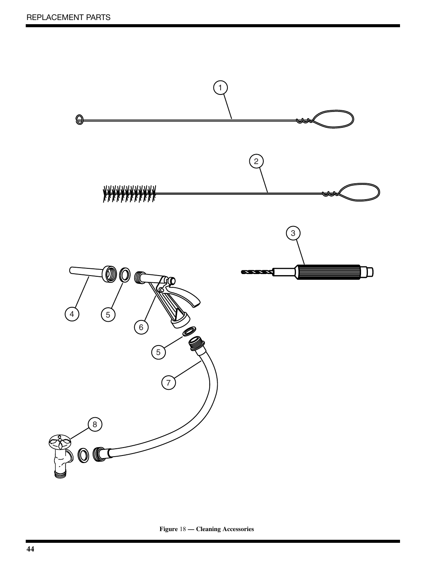![](_page_45_Figure_1.jpeg)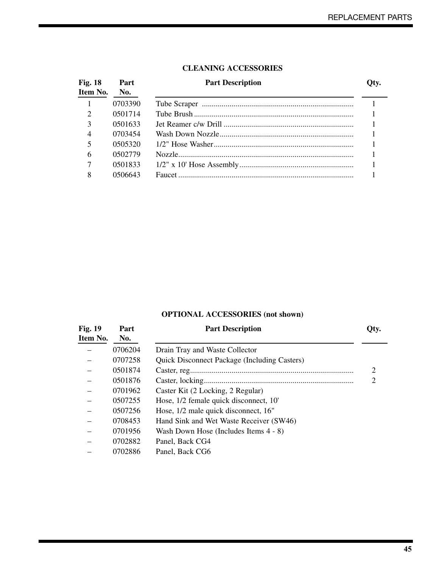| <b>Fig. 18</b> | Part    | <b>Part Description</b> | Qty. |
|----------------|---------|-------------------------|------|
| Item No.       | No.     |                         |      |
|                | 0703390 |                         |      |
| $\mathcal{D}$  | 0501714 |                         |      |
| 3              | 0501633 |                         |      |
| $\overline{4}$ | 0703454 |                         |      |
| 5              | 0505320 |                         |      |
| 6              | 0502779 |                         |      |
| 7              | 0501833 |                         |      |
| 8              | 0506643 |                         |      |
|                |         |                         |      |

#### **CLEANING ACCESSORIES**

## **OPTIONAL ACCESSORIES (not shown)**

| <b>Fig. 19</b><br>Item No. | Part<br>No. | <b>Part Description</b>                             | Qty. |
|----------------------------|-------------|-----------------------------------------------------|------|
|                            | 0706204     | Drain Tray and Waste Collector                      |      |
|                            | 0707258     | <b>Quick Disconnect Package (Including Casters)</b> |      |
|                            | 0501874     |                                                     | 2    |
|                            | 0501876     |                                                     | 2    |
|                            | 0701962     | Caster Kit (2 Locking, 2 Regular)                   |      |
|                            | 0507255     | Hose, 1/2 female quick disconnect, 10'              |      |
|                            | 0507256     | Hose, 1/2 male quick disconnect, 16"                |      |
|                            | 0708453     | Hand Sink and Wet Waste Receiver (SW46)             |      |
|                            | 0701956     | Wash Down Hose (Includes Items 4 - 8)               |      |
|                            | 0702882     | Panel, Back CG4                                     |      |
|                            | 0702886     | Panel, Back CG6                                     |      |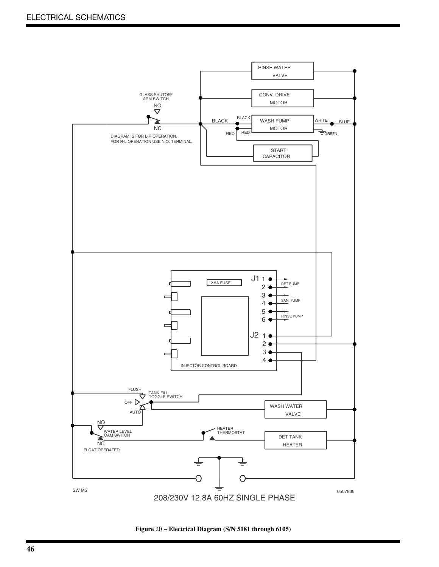![](_page_47_Figure_1.jpeg)

**Figure** 20 **– Electrical Diagram (S/N 5181 through 6105)**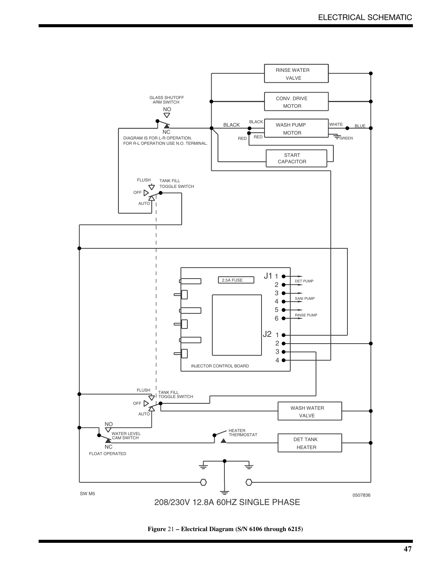![](_page_48_Figure_1.jpeg)

**Figure** 21 **– Electrical Diagram (S/N 6106 through 6215)**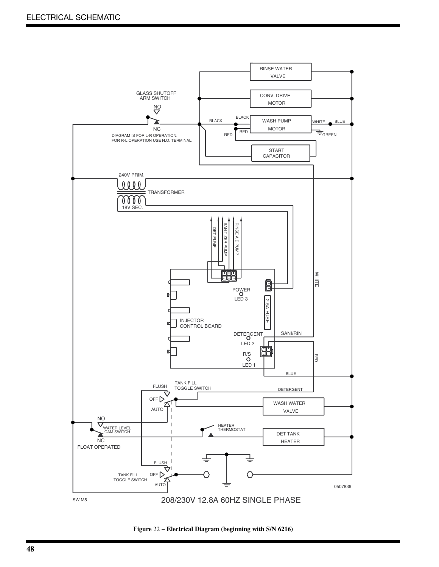![](_page_49_Figure_1.jpeg)

**Figure** 22 **– Electrical Diagram (beginning with S/N 6216)**